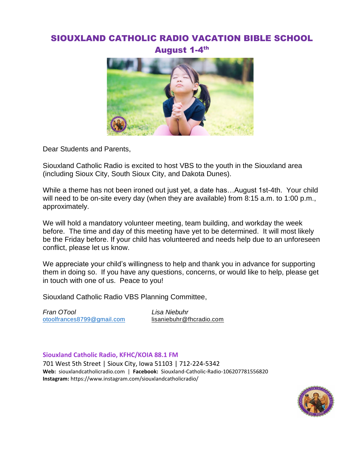# SIOUXLAND CATHOLIC RADIO VACATION BIBLE SCHOOL August 1-4<sup>th</sup>



Dear Students and Parents,

Siouxland Catholic Radio is excited to host VBS to the youth in the Siouxland area (including Sioux City, South Sioux City, and Dakota Dunes).

While a theme has not been ironed out just yet, a date has…August 1st-4th. Your child will need to be on-site every day (when they are available) from 8:15 a.m. to 1:00 p.m., approximately.

We will hold a mandatory volunteer meeting, team building, and workday the week before. The time and day of this meeting have yet to be determined. It will most likely be the Friday before. If your child has volunteered and needs help due to an unforeseen conflict, please let us know.

We appreciate your child's willingness to help and thank you in advance for supporting them in doing so. If you have any questions, concerns, or would like to help, please get in touch with one of us. Peace to you!

Siouxland Catholic Radio VBS Planning Committee,

*Fran OTool Lisa Niebuhr*  [otoolfrances8799@gmail.com](mailto:otoolfrances8799@gmail.com) [lisaniebuhr@fhcradio.com](mailto:lisaniebuhr@fhcradio.com)

**Siouxland Catholic Radio, KFHC/KOIA 88.1 FM**

701 West 5th Street | Sioux City, Iowa 51103 | 712-224-5342 **Web:** siouxlandcatholicradio.com | **Facebook:** Siouxland-Catholic-Radio-106207781556820 **Instagram:** https://www.instagram.com/siouxlandcatholicradio/

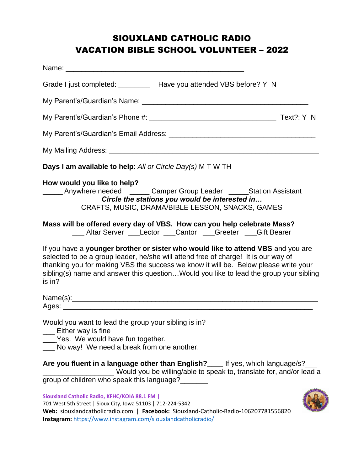# SIOUXLAND CATHOLIC RADIO VACATION BIBLE SCHOOL VOLUNTEER – 2022

| Name: when the contract of the contract of the contract of the contract of the contract of the contract of the                                                                                                                                                                                                                                                   |
|------------------------------------------------------------------------------------------------------------------------------------------------------------------------------------------------------------------------------------------------------------------------------------------------------------------------------------------------------------------|
| Grade I just completed: _________ Have you attended VBS before? Y N                                                                                                                                                                                                                                                                                              |
|                                                                                                                                                                                                                                                                                                                                                                  |
|                                                                                                                                                                                                                                                                                                                                                                  |
|                                                                                                                                                                                                                                                                                                                                                                  |
|                                                                                                                                                                                                                                                                                                                                                                  |
| Days I am available to help: All or Circle Day(s) M T W TH                                                                                                                                                                                                                                                                                                       |
| How would you like to help?<br>______ Anywhere needed ______ Camper Group Leader ______Station Assistant<br>Circle the stations you would be interested in<br>CRAFTS, MUSIC, DRAMA/BIBLE LESSON, SNACKS, GAMES                                                                                                                                                   |
| Mass will be offered every day of VBS. How can you help celebrate Mass?<br>___ Altar Server ___Lector ___Cantor ___Greeter ___Gift Bearer                                                                                                                                                                                                                        |
| If you have a younger brother or sister who would like to attend VBS and you are<br>selected to be a group leader, he/she will attend free of charge! It is our way of<br>thanking you for making VBS the success we know it will be. Below please write your<br>sibling(s) name and answer this questionWould you like to lead the group your sibling<br>is in? |
|                                                                                                                                                                                                                                                                                                                                                                  |
| Would you want to lead the group your sibling is in?<br>Either way is fine<br>Yes. We would have fun together.<br>No way! We need a break from one another.                                                                                                                                                                                                      |
| Are you fluent in a language other than English?<br>Lett yes, which language/s?<br>Would you be willing/able to speak to, translate for, and/or lead a<br>group of children who speak this language?                                                                                                                                                             |
| Siouxland Catholic Radio, KFHC/KOIA 88.1 FM  <br>701 West 5th Street   Sioux City, Iowa 51103   712-224-5342                                                                                                                                                                                                                                                     |

**Web:** siouxlandcatholicradio.com | **Facebook:** Siouxland-Catholic-Radio-106207781556820

**Instagram:** <https://www.instagram.com/siouxlandcatholicradio/>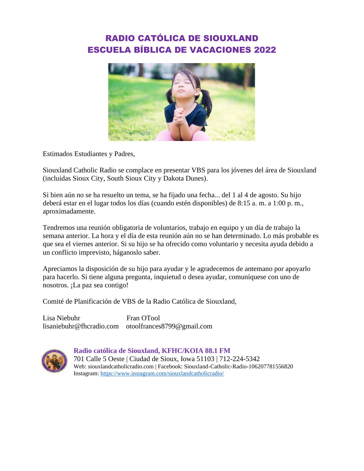# RADIO CATÓLICA DE SIOUXLAND ESCUELA BÍBLICA DE VACACIONES 2022



Estimados Estudiantes y Padres,

Siouxland Catholic Radio se complace en presentar VBS para los jóvenes del área de Siouxland (incluidas Sioux City, South Sioux City y Dakota Dunes).

Si bien aún no se ha resuelto un tema, se ha fijado una fecha... del 1 al 4 de agosto. Su hijo deberá estar en el lugar todos los días (cuando estén disponibles) de 8:15 a. m. a 1:00 p. m., aproximadamente.

Tendremos una reunión obligatoria de voluntarios, trabajo en equipo y un día de trabajo la semana anterior. La hora y el día de esta reunión aún no se han determinado. Lo más probable es que sea el viernes anterior. Si su hijo se ha ofrecido como voluntario y necesita ayuda debido a un conflicto imprevisto, háganoslo saber.

Apreciamos la disposición de su hijo para ayudar y le agradecemos de antemano por apoyarlo para hacerlo. Si tiene alguna pregunta, inquietud o desea ayudar, comuníquese con uno de nosotros. ¡La paz sea contigo!

Comité de Planificación de VBS de la Radio Católica de Siouxland,

Lisa Niebuhr Fran OTool lisaniebuhr@fhcradio.com otoolfrances8799@gmail.com



### **Radio católica de Siouxland, KFHC/KOIA 88.1 FM**

701 Calle 5 Oeste | Ciudad de Sioux, Iowa 51103 | 712-224-5342 Web: siouxlandcatholicradio.com | Facebook: Siouxland-Catholic-Radio-106207781556820 Instagram:<https://www.instagram.com/siouxlandcatholicradio/>